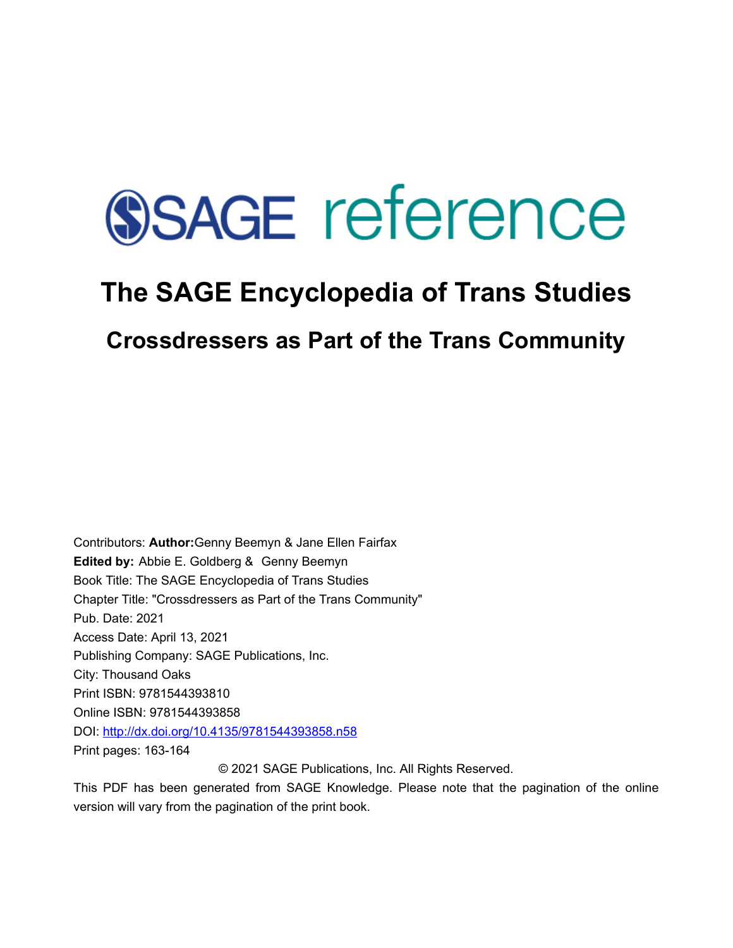# **SSAGE reference**

## **The SAGE Encyclopedia of Trans Studies**

### **Crossdressers as Part of the Trans Community**

Contributors: **Author:**Genny Beemyn & Jane Ellen Fairfax **Edited by:** [Abbie E. Goldberg](javascript:void(0);) & [Genny Beemyn](javascript:void(0);)  Book Title: The SAGE Encyclopedia of Trans Studies Chapter Title: "Crossdressers as Part of the Trans Community" Pub. Date: 2021 Access Date: April 13, 2021 Publishing Company: SAGE Publications, Inc. City: Thousand Oaks Print ISBN: 9781544393810 Online ISBN: 9781544393858 DOI: <http://dx.doi.org/10.4135/9781544393858.n58> Print pages: 163-164 © 2021 SAGE Publications, Inc. All Rights Reserved.

This PDF has been generated from SAGE Knowledge. Please note that the pagination of the online version will vary from the pagination of the print book.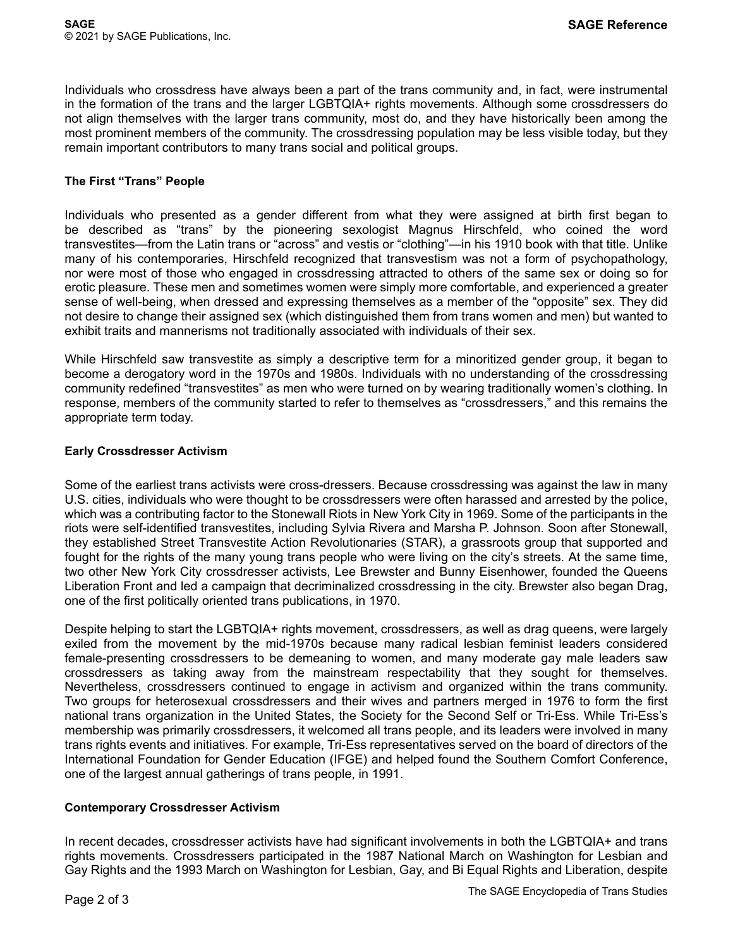Individuals who crossdress have always been a part of the trans community and, in fact, were instrumental in the formation of the trans and the larger LGBTQIA+ rights movements. Although some crossdressers do not align themselves with the larger trans community, most do, and they have historically been among the most prominent members of the community. The crossdressing population may be less visible today, but they remain important contributors to many trans social and political groups.

#### **The First "Trans" People**

Individuals who presented as a gender different from what they were assigned at birth first began to be described as "trans" by the pioneering sexologist Magnus Hirschfeld, who coined the word transvestites—from the Latin trans or "across" and vestis or "clothing"—in his 1910 book with that title. Unlike many of his contemporaries, Hirschfeld recognized that transvestism was not a form of psychopathology, nor were most of those who engaged in crossdressing attracted to others of the same sex or doing so for erotic pleasure. These men and sometimes women were simply more comfortable, and experienced a greater sense of well-being, when dressed and expressing themselves as a member of the "opposite" sex. They did not desire to change their assigned sex (which distinguished them from trans women and men) but wanted to exhibit traits and mannerisms not traditionally associated with individuals of their sex.

While Hirschfeld saw transvestite as simply a descriptive term for a minoritized gender group, it began to become a derogatory word in the 1970s and 1980s. Individuals with no understanding of the crossdressing community redefined "transvestites" as men who were turned on by wearing traditionally women's clothing. In response, members of the community started to refer to themselves as "crossdressers," and this remains the appropriate term today.

#### **Early Crossdresser Activism**

Some of the earliest trans activists were cross-dressers. Because crossdressing was against the law in many U.S. cities, individuals who were thought to be crossdressers were often harassed and arrested by the police, which was a contributing factor to the Stonewall Riots in New York City in 1969. Some of the participants in the riots were self-identified transvestites, including Sylvia Rivera and Marsha P. Johnson. Soon after Stonewall, they established Street Transvestite Action Revolutionaries (STAR), a grassroots group that supported and fought for the rights of the many young trans people who were living on the city's streets. At the same time, two other New York City crossdresser activists, Lee Brewster and Bunny Eisenhower, founded the Queens Liberation Front and led a campaign that decriminalized crossdressing in the city. Brewster also began Drag, one of the first politically oriented trans publications, in 1970.

Despite helping to start the LGBTQIA+ rights movement, crossdressers, as well as drag queens, were largely exiled from the movement by the mid-1970s because many radical lesbian feminist leaders considered female-presenting crossdressers to be demeaning to women, and many moderate gay male leaders saw crossdressers as taking away from the mainstream respectability that they sought for themselves. Nevertheless, crossdressers continued to engage in activism and organized within the trans community. Two groups for heterosexual crossdressers and their wives and partners merged in 1976 to form the first national trans organization in the United States, the Society for the Second Self or Tri-Ess. While Tri-Ess's membership was primarily crossdressers, it welcomed all trans people, and its leaders were involved in many trans rights events and initiatives. For example, Tri-Ess representatives served on the board of directors of the International Foundation for Gender Education (IFGE) and helped found the Southern Comfort Conference, one of the largest annual gatherings of trans people, in 1991.

#### **Contemporary Crossdresser Activism**

In recent decades, crossdresser activists have had significant involvements in both the LGBTQIA+ and trans rights movements. Crossdressers participated in the 1987 National March on Washington for Lesbian and Gay Rights and the 1993 March on Washington for Lesbian, Gay, and Bi Equal Rights and Liberation, despite